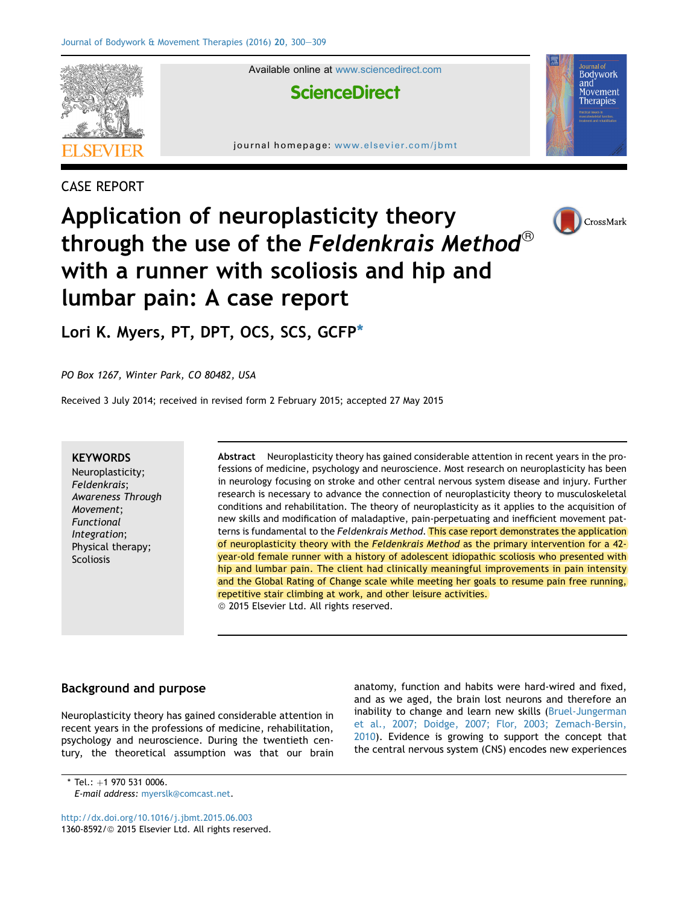

## CASE REPORT

# Application of neuroplasticity theory through the use of the Feldenkrais Method<sup>®</sup> with a runner with scoliosis and hip and lumbar pain: A case report



Bodywork and una<br>Movement Therapies

Lori K. Myers, PT, DPT, OCS, SCS, GCFP\*

PO Box 1267, Winter Park, CO 80482, USA

Received 3 July 2014; received in revised form 2 February 2015; accepted 27 May 2015

#### **KEYWORDS**

Neuroplasticity; Feldenkrais; Awareness Through Movement; Functional Integration; Physical therapy; Scoliosis

Abstract Neuroplasticity theory has gained considerable attention in recent years in the professions of medicine, psychology and neuroscience. Most research on neuroplasticity has been in neurology focusing on stroke and other central nervous system disease and injury. Further research is necessary to advance the connection of neuroplasticity theory to musculoskeletal conditions and rehabilitation. The theory of neuroplasticity as it applies to the acquisition of new skills and modification of maladaptive, pain-perpetuating and inefficient movement patterns is fundamental to the Feldenkrais Method. This case report demonstrates the application of neuroplasticity theory with the Feldenkrais Method as the primary intervention for a 42 year-old female runner with a history of adolescent idiopathic scoliosis who presented with hip and lumbar pain. The client had clinically meaningful improvements in pain intensity and the Global Rating of Change scale while meeting her goals to resume pain free running, repetitive stair climbing at work, and other leisure activities. <sup>©</sup> 2015 Elsevier Ltd. All rights reserved.

## Background and purpose

Neuroplasticity theory has gained considerable attention in recent years in the professions of medicine, rehabilitation, psychology and neuroscience. During the twentieth century, the theoretical assumption was that our brain anatomy, function and habits were hard-wired and fixed, and as we aged, the brain lost neurons and therefore an inability to change and learn new skills [\(Bruel-Jungerman](#page-8-0) [et al., 2007; Doidge, 2007; Flor, 2003; Zemach-Bersin,](#page-8-0) [2010](#page-8-0)). Evidence is growing to support the concept that the central nervous system (CNS) encodes new experiences

\* Tel.:  $+1$  970 531 0006.

<http://dx.doi.org/10.1016/j.jbmt.2015.06.003> 1360-8592/© 2015 Elsevier Ltd. All rights reserved.

E-mail address: [myerslk@comcast.net](mailto:myerslk@comcast.net).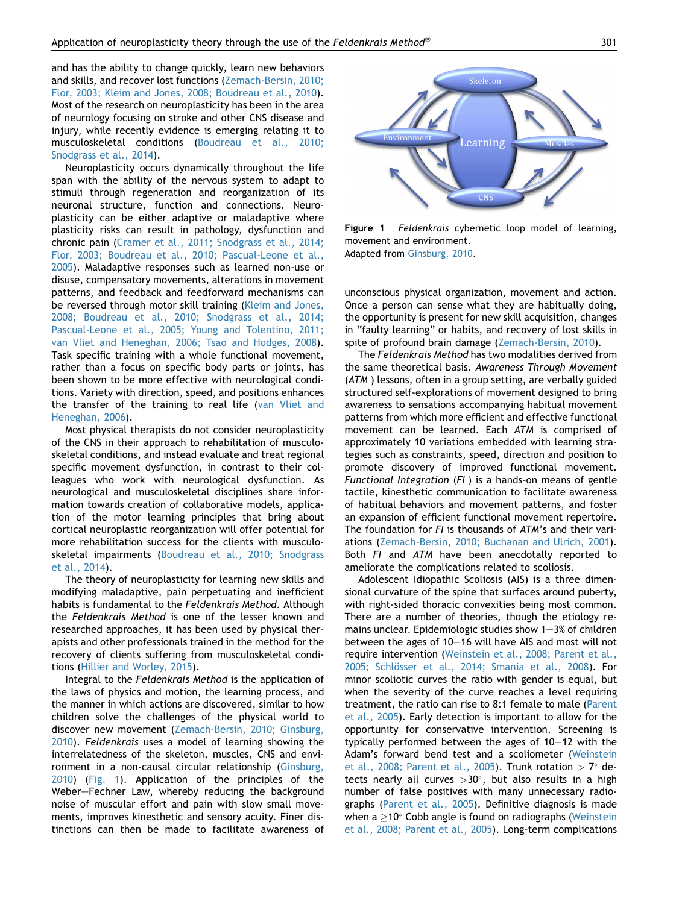and has the ability to change quickly, learn new behaviors and skills, and recover lost functions [\(Zemach-Bersin, 2010;](#page-9-0) [Flor, 2003; Kleim and Jones, 2008; Boudreau et al., 2010\)](#page-9-0). Most of the research on neuroplasticity has been in the area of neurology focusing on stroke and other CNS disease and injury, while recently evidence is emerging relating it to musculoskeletal conditions ([Boudreau et al., 2010;](#page-8-0) [Snodgrass et al., 2014\)](#page-8-0).

Neuroplasticity occurs dynamically throughout the life span with the ability of the nervous system to adapt to stimuli through regeneration and reorganization of its neuronal structure, function and connections. Neuroplasticity can be either adaptive or maladaptive where plasticity risks can result in pathology, dysfunction and chronic pain ([Cramer et al., 2011; Snodgrass et al., 2014;](#page-8-0) [Flor, 2003; Boudreau et al., 2010; Pascual-Leone et al.,](#page-8-0) [2005](#page-8-0)). Maladaptive responses such as learned non-use or disuse, compensatory movements, alterations in movement patterns, and feedback and feedforward mechanisms can be reversed through motor skill training ([Kleim and Jones,](#page-8-0) [2008; Boudreau et al., 2010; Snodgrass et al., 2014;](#page-8-0) [Pascual-Leone et al., 2005; Young and Tolentino, 2011;](#page-8-0) [van Vliet and Heneghan, 2006; Tsao and Hodges, 2008\)](#page-8-0). Task specific training with a whole functional movement, rather than a focus on specific body parts or joints, has been shown to be more effective with neurological conditions. Variety with direction, speed, and positions enhances the transfer of the training to real life [\(van Vliet and](#page-9-0) [Heneghan, 2006](#page-9-0)).

Most physical therapists do not consider neuroplasticity of the CNS in their approach to rehabilitation of musculoskeletal conditions, and instead evaluate and treat regional specific movement dysfunction, in contrast to their colleagues who work with neurological dysfunction. As neurological and musculoskeletal disciplines share information towards creation of collaborative models, application of the motor learning principles that bring about cortical neuroplastic reorganization will offer potential for more rehabilitation success for the clients with musculoskeletal impairments [\(Boudreau et al., 2010; Snodgrass](#page-8-0) [et al., 2014](#page-8-0)).

The theory of neuroplasticity for learning new skills and modifying maladaptive, pain perpetuating and inefficient habits is fundamental to the Feldenkrais Method. Although the Feldenkrais Method is one of the lesser known and researched approaches, it has been used by physical therapists and other professionals trained in the method for the recovery of clients suffering from musculoskeletal conditions [\(Hillier and Worley, 2015\)](#page-8-0).

Integral to the Feldenkrais Method is the application of the laws of physics and motion, the learning process, and the manner in which actions are discovered, similar to how children solve the challenges of the physical world to discover new movement [\(Zemach-Bersin, 2010; Ginsburg,](#page-9-0) [2010](#page-9-0)). Feldenkrais uses a model of learning showing the interrelatedness of the skeleton, muscles, CNS and envi-ronment in a non-causal circular relationship [\(Ginsburg,](#page-8-0) [2010](#page-8-0)) (Fig. 1). Application of the principles of the Weber-Fechner Law, whereby reducing the background noise of muscular effort and pain with slow small movements, improves kinesthetic and sensory acuity. Finer distinctions can then be made to facilitate awareness of



Figure 1 Feldenkrais cybernetic loop model of learning, movement and environment. Adapted from [Ginsburg, 2010.](#page-8-0)

unconscious physical organization, movement and action. Once a person can sense what they are habitually doing, the opportunity is present for new skill acquisition, changes in "faulty learning" or habits, and recovery of lost skills in spite of profound brain damage [\(Zemach-Bersin, 2010\)](#page-9-0).

The Feldenkrais Method has two modalities derived from the same theoretical basis. Awareness Through Movement (ATM ) lessons, often in a group setting, are verbally guided structured self-explorations of movement designed to bring awareness to sensations accompanying habitual movement patterns from which more efficient and effective functional movement can be learned. Each ATM is comprised of approximately 10 variations embedded with learning strategies such as constraints, speed, direction and position to promote discovery of improved functional movement. Functional Integration (FI ) is a hands-on means of gentle tactile, kinesthetic communication to facilitate awareness of habitual behaviors and movement patterns, and foster an expansion of efficient functional movement repertoire. The foundation for FI is thousands of ATM's and their variations [\(Zemach-Bersin, 2010; Buchanan and Ulrich, 2001\)](#page-9-0). Both FI and ATM have been anecdotally reported to ameliorate the complications related to scoliosis.

Adolescent Idiopathic Scoliosis (AIS) is a three dimensional curvature of the spine that surfaces around puberty, with right-sided thoracic convexities being most common. There are a number of theories, though the etiology remains unclear. Epidemiologic studies show  $1-3%$  of children between the ages of  $10-16$  will have AIS and most will not require intervention ([Weinstein et al., 2008; Parent et al.,](#page-9-0) 2005; Schlösser et al., 2014; Smania et al., 2008). For minor scoliotic curves the ratio with gender is equal, but when the severity of the curve reaches a level requiring treatment, the ratio can rise to 8:1 female to male ([Parent](#page-9-0) [et al., 2005\)](#page-9-0). Early detection is important to allow for the opportunity for conservative intervention. Screening is typically performed between the ages of  $10-12$  with the Adam's forward bend test and a scoliometer ([Weinstein](#page-9-0) [et al., 2008; Parent et al., 2005](#page-9-0)). Trunk rotation  $> 7^{\circ}$  detects nearly all curves  $>30^{\circ}$ , but also results in a high number of false positives with many unnecessary radiographs ([Parent et al., 2005\)](#page-9-0). Definitive diagnosis is made when a  $\geq$ 10 $^{\circ}$  Cobb angle is found on radiographs ([Weinstein](#page-9-0) [et al., 2008; Parent et al., 2005\)](#page-9-0). Long-term complications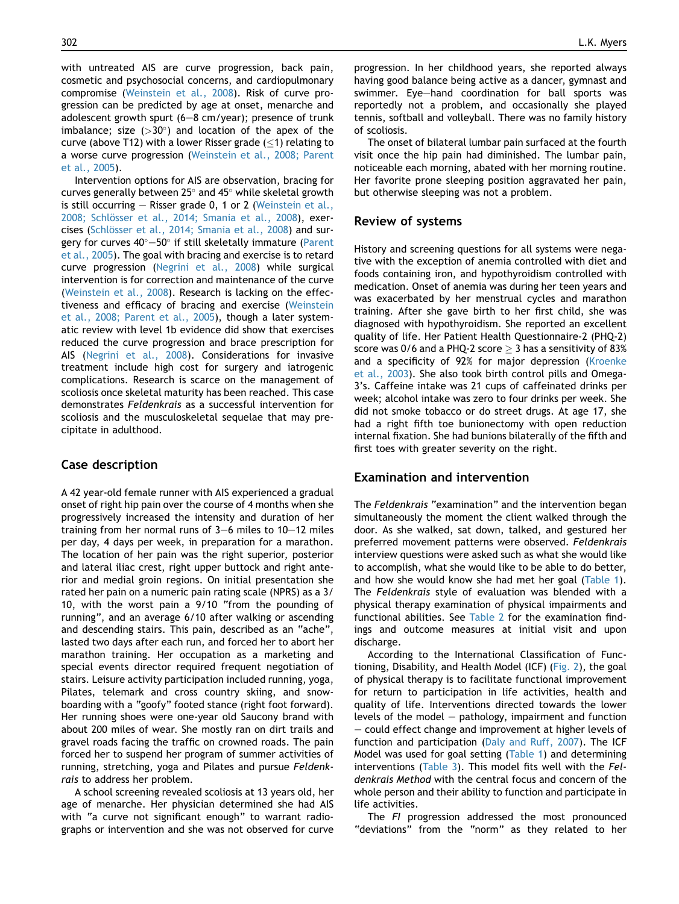with untreated AIS are curve progression, back pain, cosmetic and psychosocial concerns, and cardiopulmonary compromise [\(Weinstein et al., 2008\)](#page-9-0). Risk of curve progression can be predicted by age at onset, menarche and adolescent growth spurt  $(6-8 \text{ cm}/\text{year})$ ; presence of trunk imbalance; size  $(>30^\circ)$  and location of the apex of the curve (above T12) with a lower Risser grade  $(<1)$  relating to a worse curve progression [\(Weinstein et al., 2008; Parent](#page-9-0) [et al., 2005\)](#page-9-0).

Intervention options for AIS are observation, bracing for curves generally between 25 $^{\circ}$  and 45 $^{\circ}$  while skeletal growth is still occurring  $-$  Risser grade 0, 1 or 2 ([Weinstein et al.,](#page-9-0) 2008; Schlösser et al., 2014; Smania et al., 2008), exercises (Schlösser et al., 2014; Smania et al., 2008) and sur-gery for curves 40°—50° if still skeletally immature [\(Parent](#page-9-0) [et al., 2005](#page-9-0)). The goal with bracing and exercise is to retard curve progression [\(Negrini et al., 2008\)](#page-9-0) while surgical intervention is for correction and maintenance of the curve [\(Weinstein et al., 2008\)](#page-9-0). Research is lacking on the effectiveness and efficacy of bracing and exercise [\(Weinstein](#page-9-0) [et al., 2008; Parent et al., 2005](#page-9-0)), though a later systematic review with level 1b evidence did show that exercises reduced the curve progression and brace prescription for AIS ([Negrini et al., 2008](#page-9-0)). Considerations for invasive treatment include high cost for surgery and iatrogenic complications. Research is scarce on the management of scoliosis once skeletal maturity has been reached. This case demonstrates Feldenkrais as a successful intervention for scoliosis and the musculoskeletal sequelae that may precipitate in adulthood.

## Case description

A 42 year-old female runner with AIS experienced a gradual onset of right hip pain over the course of 4 months when she progressively increased the intensity and duration of her training from her normal runs of  $3-6$  miles to  $10-12$  miles per day, 4 days per week, in preparation for a marathon. The location of her pain was the right superior, posterior and lateral iliac crest, right upper buttock and right anterior and medial groin regions. On initial presentation she rated her pain on a numeric pain rating scale (NPRS) as a 3/ 10, with the worst pain a 9/10 "from the pounding of running", and an average 6/10 after walking or ascending and descending stairs. This pain, described as an "ache", lasted two days after each run, and forced her to abort her marathon training. Her occupation as a marketing and special events director required frequent negotiation of stairs. Leisure activity participation included running, yoga, Pilates, telemark and cross country skiing, and snowboarding with a "goofy" footed stance (right foot forward). Her running shoes were one-year old Saucony brand with about 200 miles of wear. She mostly ran on dirt trails and gravel roads facing the traffic on crowned roads. The pain forced her to suspend her program of summer activities of running, stretching, yoga and Pilates and pursue Feldenkrais to address her problem.

A school screening revealed scoliosis at 13 years old, her age of menarche. Her physician determined she had AIS with "a curve not significant enough" to warrant radiographs or intervention and she was not observed for curve

progression. In her childhood years, she reported always having good balance being active as a dancer, gymnast and swimmer. Eye-hand coordination for ball sports was reportedly not a problem, and occasionally she played tennis, softball and volleyball. There was no family history of scoliosis.

The onset of bilateral lumbar pain surfaced at the fourth visit once the hip pain had diminished. The lumbar pain, noticeable each morning, abated with her morning routine. Her favorite prone sleeping position aggravated her pain, but otherwise sleeping was not a problem.

## Review of systems

History and screening questions for all systems were negative with the exception of anemia controlled with diet and foods containing iron, and hypothyroidism controlled with medication. Onset of anemia was during her teen years and was exacerbated by her menstrual cycles and marathon training. After she gave birth to her first child, she was diagnosed with hypothyroidism. She reported an excellent quality of life. Her Patient Health Questionnaire-2 (PHQ-2) score was 0/6 and a PHQ-2 score  $>$  3 has a sensitivity of 83% and a specificity of 92% for major depression [\(Kroenke](#page-8-0) [et al., 2003\)](#page-8-0). She also took birth control pills and Omega-3's. Caffeine intake was 21 cups of caffeinated drinks per week; alcohol intake was zero to four drinks per week. She did not smoke tobacco or do street drugs. At age 17, she had a right fifth toe bunionectomy with open reduction internal fixation. She had bunions bilaterally of the fifth and first toes with greater severity on the right.

## Examination and intervention

The Feldenkrais "examination" and the intervention began simultaneously the moment the client walked through the door. As she walked, sat down, talked, and gestured her preferred movement patterns were observed. Feldenkrais interview questions were asked such as what she would like to accomplish, what she would like to be able to do better, and how she would know she had met her goal [\(Table 1](#page-3-0)). The Feldenkrais style of evaluation was blended with a physical therapy examination of physical impairments and functional abilities. See [Table 2](#page-4-0) for the examination findings and outcome measures at initial visit and upon discharge.

According to the International Classification of Functioning, Disability, and Health Model (ICF) ([Fig. 2\)](#page-5-0), the goal of physical therapy is to facilitate functional improvement for return to participation in life activities, health and quality of life. Interventions directed towards the lower levels of the model  $-$  pathology, impairment and function  $-$  could effect change and improvement at higher levels of function and participation ([Daly and Ruff, 2007](#page-8-0)). The ICF Model was used for goal setting ([Table 1\)](#page-3-0) and determining interventions ([Table 3](#page-6-0)). This model fits well with the Feldenkrais Method with the central focus and concern of the whole person and their ability to function and participate in life activities.

The FI progression addressed the most pronounced "deviations" from the "norm" as they related to her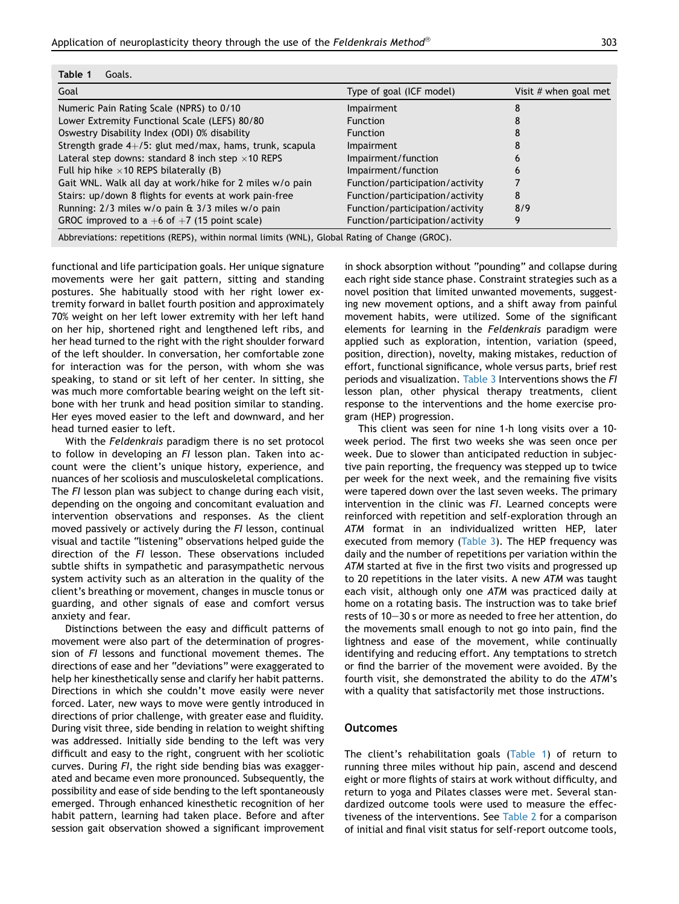<span id="page-3-0"></span>

| Goal                                                       | Type of goal (ICF model)        | Visit $#$ when goal met |
|------------------------------------------------------------|---------------------------------|-------------------------|
| Numeric Pain Rating Scale (NPRS) to 0/10                   | Impairment                      |                         |
| Lower Extremity Functional Scale (LEFS) 80/80              | <b>Function</b>                 |                         |
| Oswestry Disability Index (ODI) 0% disability              | <b>Function</b>                 |                         |
| Strength grade $4+/5$ : glut med/max, hams, trunk, scapula | <b>Impairment</b>               |                         |
| Lateral step downs: standard 8 inch step $\times$ 10 REPS  | Impairment/function             | n                       |
| Full hip hike $\times$ 10 REPS bilaterally (B)             | Impairment/function             |                         |
| Gait WNL. Walk all day at work/hike for 2 miles w/o pain   | Function/participation/activity |                         |
| Stairs: up/down 8 flights for events at work pain-free     | Function/participation/activity | 8                       |
| Running: 2/3 miles w/o pain & 3/3 miles w/o pain           | Function/participation/activity | 8/9                     |
| GROC improved to a $+6$ of $+7$ (15 point scale)           | Function/participation/activity | 9                       |

functional and life participation goals. Her unique signature movements were her gait pattern, sitting and standing postures. She habitually stood with her right lower extremity forward in ballet fourth position and approximately 70% weight on her left lower extremity with her left hand on her hip, shortened right and lengthened left ribs, and her head turned to the right with the right shoulder forward of the left shoulder. In conversation, her comfortable zone for interaction was for the person, with whom she was speaking, to stand or sit left of her center. In sitting, she was much more comfortable bearing weight on the left sitbone with her trunk and head position similar to standing. Her eyes moved easier to the left and downward, and her head turned easier to left.

With the Feldenkrais paradigm there is no set protocol to follow in developing an FI lesson plan. Taken into account were the client's unique history, experience, and nuances of her scoliosis and musculoskeletal complications. The FI lesson plan was subject to change during each visit, depending on the ongoing and concomitant evaluation and intervention observations and responses. As the client moved passively or actively during the FI lesson, continual visual and tactile "listening" observations helped guide the direction of the FI lesson. These observations included subtle shifts in sympathetic and parasympathetic nervous system activity such as an alteration in the quality of the client's breathing or movement, changes in muscle tonus or guarding, and other signals of ease and comfort versus anxiety and fear.

Distinctions between the easy and difficult patterns of movement were also part of the determination of progression of FI lessons and functional movement themes. The directions of ease and her "deviations" were exaggerated to help her kinesthetically sense and clarify her habit patterns. Directions in which she couldn't move easily were never forced. Later, new ways to move were gently introduced in directions of prior challenge, with greater ease and fluidity. During visit three, side bending in relation to weight shifting was addressed. Initially side bending to the left was very difficult and easy to the right, congruent with her scoliotic curves. During FI, the right side bending bias was exaggerated and became even more pronounced. Subsequently, the possibility and ease of side bending to the left spontaneously emerged. Through enhanced kinesthetic recognition of her habit pattern, learning had taken place. Before and after session gait observation showed a significant improvement in shock absorption without "pounding" and collapse during each right side stance phase. Constraint strategies such as a novel position that limited unwanted movements, suggesting new movement options, and a shift away from painful movement habits, were utilized. Some of the significant elements for learning in the Feldenkrais paradigm were applied such as exploration, intention, variation (speed, position, direction), novelty, making mistakes, reduction of effort, functional significance, whole versus parts, brief rest periods and visualization. [Table 3](#page-6-0) Interventions shows the FI lesson plan, other physical therapy treatments, client response to the interventions and the home exercise program (HEP) progression.

This client was seen for nine 1-h long visits over a 10 week period. The first two weeks she was seen once per week. Due to slower than anticipated reduction in subjective pain reporting, the frequency was stepped up to twice per week for the next week, and the remaining five visits were tapered down over the last seven weeks. The primary intervention in the clinic was FI. Learned concepts were reinforced with repetition and self-exploration through an ATM format in an individualized written HEP, later executed from memory ([Table 3\)](#page-6-0). The HEP frequency was daily and the number of repetitions per variation within the ATM started at five in the first two visits and progressed up to 20 repetitions in the later visits. A new ATM was taught each visit, although only one ATM was practiced daily at home on a rotating basis. The instruction was to take brief rests of 10-30 s or more as needed to free her attention, do the movements small enough to not go into pain, find the lightness and ease of the movement, while continually identifying and reducing effort. Any temptations to stretch or find the barrier of the movement were avoided. By the fourth visit, she demonstrated the ability to do the ATM's with a quality that satisfactorily met those instructions.

#### **Outcomes**

The client's rehabilitation goals (Table 1) of return to running three miles without hip pain, ascend and descend eight or more flights of stairs at work without difficulty, and return to yoga and Pilates classes were met. Several standardized outcome tools were used to measure the effectiveness of the interventions. See [Table 2](#page-4-0) for a comparison of initial and final visit status for self-report outcome tools,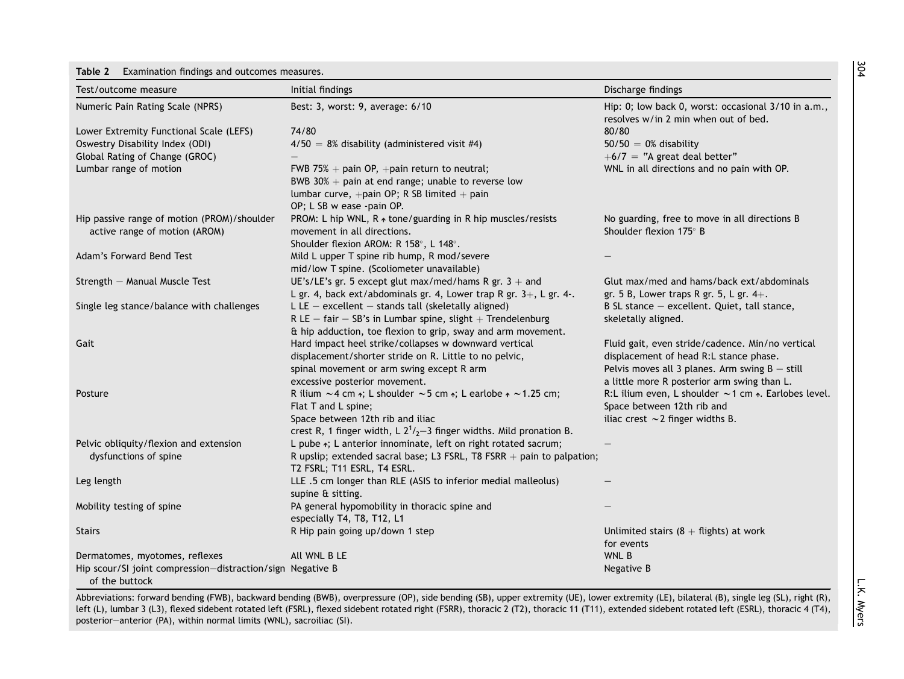#### <span id="page-4-0"></span>Table 2 Examination findings and outcomes measures.

| Test/outcome measure                                                         | Initial findings                                                                                                                                                                                                             | Discharge findings                                                                                                                             |
|------------------------------------------------------------------------------|------------------------------------------------------------------------------------------------------------------------------------------------------------------------------------------------------------------------------|------------------------------------------------------------------------------------------------------------------------------------------------|
| Numeric Pain Rating Scale (NPRS)                                             | Best: 3, worst: 9, average: 6/10                                                                                                                                                                                             | Hip: 0; low back 0, worst: occasional 3/10 in a.m.,<br>resolves w/in 2 min when out of bed.                                                    |
| Lower Extremity Functional Scale (LEFS)                                      | 74/80                                                                                                                                                                                                                        | 80/80                                                                                                                                          |
| Oswestry Disability Index (ODI)                                              | $4/50 = 8\%$ disability (administered visit #4)                                                                                                                                                                              | $50/50 = 0\%$ disability                                                                                                                       |
| Global Rating of Change (GROC)                                               |                                                                                                                                                                                                                              | $+6/7$ = "A great deal better"                                                                                                                 |
| Lumbar range of motion                                                       | FWB 75% + pain OP, +pain return to neutral;<br>BWB 30% $+$ pain at end range; unable to reverse low<br>lumbar curve, +pain OP; R SB limited + pain<br>OP; L SB w ease -pain OP.                                              | WNL in all directions and no pain with OP.                                                                                                     |
| Hip passive range of motion (PROM)/shoulder<br>active range of motion (AROM) | PROM: L hip WNL, R + tone/guarding in R hip muscles/resists<br>movement in all directions.<br>Shoulder flexion AROM: R 158°, L 148°.                                                                                         | No guarding, free to move in all directions B<br>Shoulder flexion 175° B                                                                       |
| Adam's Forward Bend Test                                                     | Mild L upper T spine rib hump, R mod/severe<br>mid/low T spine. (Scoliometer unavailable)                                                                                                                                    |                                                                                                                                                |
| Strength - Manual Muscle Test                                                | UE's/LE's gr. 5 except glut max/med/hams R gr. $3 +$ and<br>L gr. 4, back ext/abdominals gr. 4, Lower trap R gr. $3+$ , L gr. 4-.                                                                                            | Glut max/med and hams/back ext/abdominals<br>gr. 5 B, Lower traps R gr. 5, L gr. $4+$ .                                                        |
| Single leg stance/balance with challenges                                    | L LE $-$ excellent $-$ stands tall (skeletally aligned)<br>R LE $-$ fair $-$ SB's in Lumbar spine, slight $+$ Trendelenburg                                                                                                  | B SL stance - excellent. Quiet, tall stance,<br>skeletally aligned.                                                                            |
| Gait                                                                         | & hip adduction, toe flexion to grip, sway and arm movement.<br>Hard impact heel strike/collapses w downward vertical<br>displacement/shorter stride on R. Little to no pelvic,<br>spinal movement or arm swing except R arm | Fluid gait, even stride/cadence. Min/no vertical<br>displacement of head R:L stance phase.<br>Pelvis moves all 3 planes. Arm swing $B -$ still |
|                                                                              | excessive posterior movement.                                                                                                                                                                                                | a little more R posterior arm swing than L.                                                                                                    |
| Posture                                                                      | R ilium $\sim$ 4 cm $\cdot$ ; L shoulder $\sim$ 5 cm $\cdot$ ; L earlobe $\cdot \sim$ 1.25 cm;<br>Flat T and L spine;<br>Space between 12th rib and iliac                                                                    | R:L ilium even, L shoulder $\sim$ 1 cm $\ast$ . Earlobes level.<br>Space between 12th rib and<br>iliac crest $\sim$ 2 finger widths B.         |
|                                                                              | crest R, 1 finger width, L $2^1/2-3$ finger widths. Mild pronation B.                                                                                                                                                        |                                                                                                                                                |
| Pelvic obliquity/flexion and extension<br>dysfunctions of spine              | L pube *; L anterior innominate, left on right rotated sacrum;<br>R upslip; extended sacral base; L3 FSRL, T8 FSRR $+$ pain to palpation;<br>T2 FSRL; T11 ESRL, T4 ESRL.                                                     |                                                                                                                                                |
| Leg length                                                                   | LLE .5 cm longer than RLE (ASIS to inferior medial malleolus)<br>supine & sitting.                                                                                                                                           |                                                                                                                                                |
| Mobility testing of spine                                                    | PA general hypomobility in thoracic spine and<br>especially T4, T8, T12, L1                                                                                                                                                  |                                                                                                                                                |
| <b>Stairs</b>                                                                | R Hip pain going up/down 1 step                                                                                                                                                                                              | Unlimited stairs $(8 + \text{flights})$ at work<br>for events                                                                                  |
| Dermatomes, myotomes, reflexes                                               | All WNL B LE                                                                                                                                                                                                                 | WNL B                                                                                                                                          |
| Hip scour/SI joint compression-distraction/sign Negative B<br>of the buttock |                                                                                                                                                                                                                              | Negative B                                                                                                                                     |

Abbreviations: forward bending (FWB), backward bending (BWB), overpressure (OP), side bending (SB), upper extremity (UE), lower extremity (LE), bilateral (B), single leg (SL), right (R), left (L), lumbar 3 (L3), flexed sidebent rotated left (FSRL), flexed sidebent rotated right (FSRR), thoracic 2 (T2), thoracic 11 (T11), extended sidebent rotated left (ESRL), thoracic 4 (T4), posterioreanterior (PA), within normal limits (WNL), sacroiliac (SI).

L.K. Myers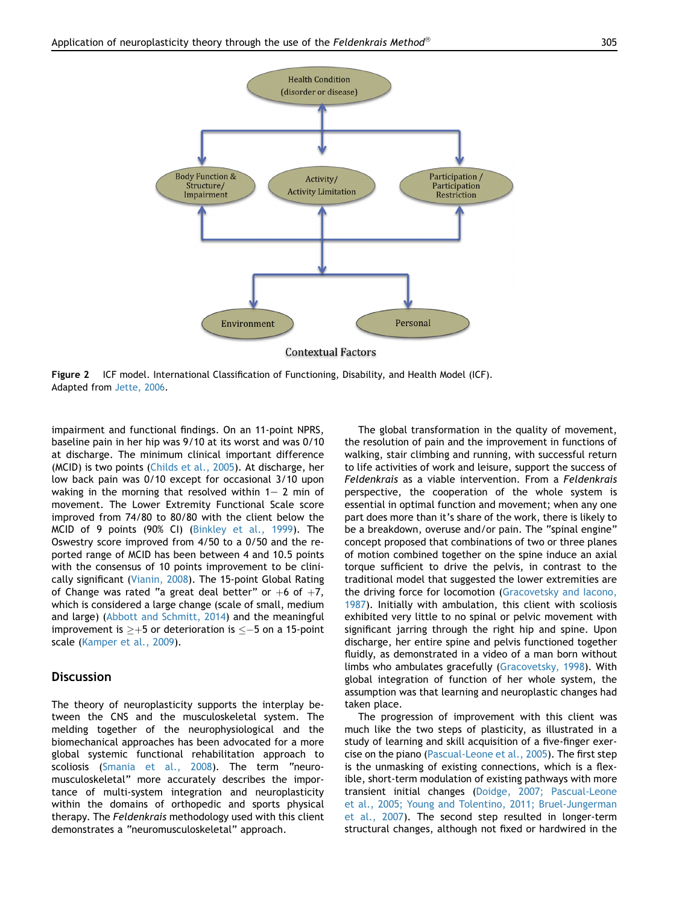<span id="page-5-0"></span>

Figure 2 ICF model. International Classification of Functioning, Disability, and Health Model (ICF). Adapted from [Jette, 2006.](#page-8-0)

impairment and functional findings. On an 11-point NPRS, baseline pain in her hip was 9/10 at its worst and was 0/10 at discharge. The minimum clinical important difference (MCID) is two points [\(Childs et al., 2005\)](#page-8-0). At discharge, her low back pain was 0/10 except for occasional 3/10 upon waking in the morning that resolved within  $1-2$  min of movement. The Lower Extremity Functional Scale score improved from 74/80 to 80/80 with the client below the MCID of 9 points (90% CI) ([Binkley et al., 1999](#page-8-0)). The Oswestry score improved from 4/50 to a 0/50 and the reported range of MCID has been between 4 and 10.5 points with the consensus of 10 points improvement to be clinically significant [\(Vianin, 2008](#page-9-0)). The 15-point Global Rating of Change was rated "a great deal better" or  $+6$  of  $+7$ , which is considered a large change (scale of small, medium and large) [\(Abbott and Schmitt, 2014](#page-8-0)) and the meaningful improvement is  $\geq +5$  or deterioration is  $\leq -5$  on a 15-point scale [\(Kamper et al., 2009\)](#page-8-0).

## **Discussion**

The theory of neuroplasticity supports the interplay between the CNS and the musculoskeletal system. The melding together of the neurophysiological and the biomechanical approaches has been advocated for a more global systemic functional rehabilitation approach to scoliosis [\(Smania et al., 2008](#page-9-0)). The term "neuromusculoskeletal" more accurately describes the importance of multi-system integration and neuroplasticity within the domains of orthopedic and sports physical therapy. The Feldenkrais methodology used with this client demonstrates a "neuromusculoskeletal" approach.

The global transformation in the quality of movement, the resolution of pain and the improvement in functions of walking, stair climbing and running, with successful return to life activities of work and leisure, support the success of Feldenkrais as a viable intervention. From a Feldenkrais perspective, the cooperation of the whole system is essential in optimal function and movement; when any one part does more than it's share of the work, there is likely to be a breakdown, overuse and/or pain. The "spinal engine" concept proposed that combinations of two or three planes of motion combined together on the spine induce an axial torque sufficient to drive the pelvis, in contrast to the traditional model that suggested the lower extremities are the driving force for locomotion [\(Gracovetsky and Iacono,](#page-8-0) [1987](#page-8-0)). Initially with ambulation, this client with scoliosis exhibited very little to no spinal or pelvic movement with significant jarring through the right hip and spine. Upon discharge, her entire spine and pelvis functioned together fluidly, as demonstrated in a video of a man born without limbs who ambulates gracefully ([Gracovetsky, 1998\)](#page-8-0). With global integration of function of her whole system, the assumption was that learning and neuroplastic changes had taken place.

The progression of improvement with this client was much like the two steps of plasticity, as illustrated in a study of learning and skill acquisition of a five-finger exercise on the piano [\(Pascual-Leone et al., 2005](#page-9-0)). The first step is the unmasking of existing connections, which is a flexible, short-term modulation of existing pathways with more transient initial changes ([Doidge, 2007; Pascual-Leone](#page-8-0) [et al., 2005; Young and Tolentino, 2011; Bruel-Jungerman](#page-8-0) [et al., 2007](#page-8-0)). The second step resulted in longer-term structural changes, although not fixed or hardwired in the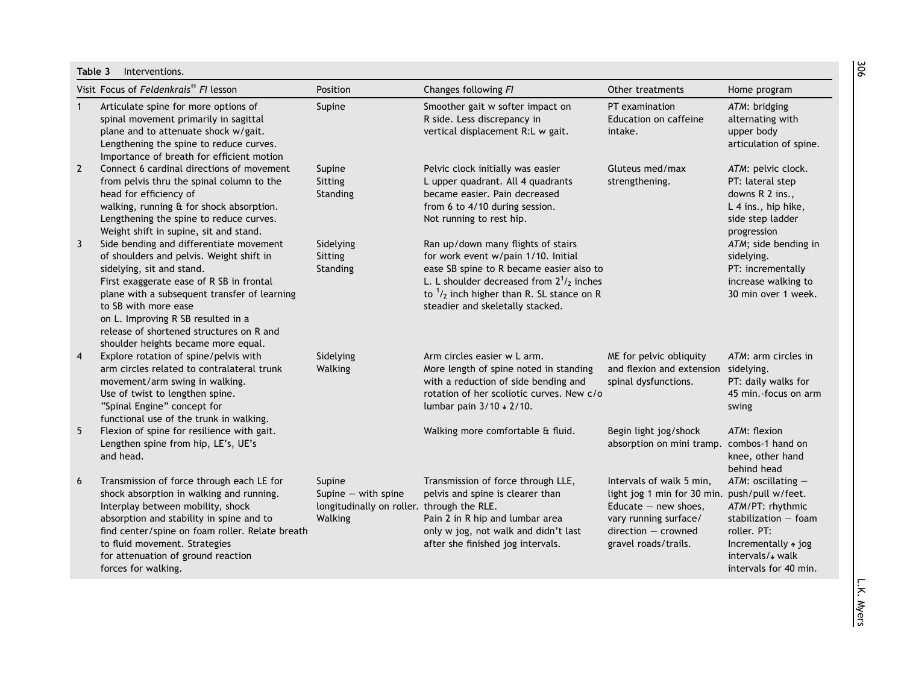<span id="page-6-0"></span>

|                | Visit Focus of Feldenkrais <sup>®</sup> FI lesson                                                                                                                                                                                                                                                                                                             | Position                                                                                 | Changes following FI                                                                                                                                                                                                                                              | Other treatments                                                                                                                                                              | Home program                                                                                                                                                  |
|----------------|---------------------------------------------------------------------------------------------------------------------------------------------------------------------------------------------------------------------------------------------------------------------------------------------------------------------------------------------------------------|------------------------------------------------------------------------------------------|-------------------------------------------------------------------------------------------------------------------------------------------------------------------------------------------------------------------------------------------------------------------|-------------------------------------------------------------------------------------------------------------------------------------------------------------------------------|---------------------------------------------------------------------------------------------------------------------------------------------------------------|
| $\mathbf{1}$   | Articulate spine for more options of<br>spinal movement primarily in sagittal<br>plane and to attenuate shock w/gait.<br>Lengthening the spine to reduce curves.<br>Importance of breath for efficient motion                                                                                                                                                 | Supine                                                                                   | Smoother gait w softer impact on<br>R side. Less discrepancy in<br>vertical displacement R:L w gait.                                                                                                                                                              | PT examination<br>Education on caffeine<br>intake.                                                                                                                            | ATM: bridging<br>alternating with<br>upper body<br>articulation of spine.                                                                                     |
| $\overline{2}$ | Connect 6 cardinal directions of movement<br>from pelvis thru the spinal column to the<br>head for efficiency of<br>walking, running & for shock absorption.<br>Lengthening the spine to reduce curves.<br>Weight shift in supine, sit and stand.                                                                                                             | Supine<br>Sitting<br>Standing                                                            | Pelvic clock initially was easier<br>L upper quadrant. All 4 quadrants<br>became easier. Pain decreased<br>from 6 to 4/10 during session.<br>Not running to rest hip.                                                                                             | Gluteus med/max<br>strengthening.                                                                                                                                             | ATM: pelvic clock.<br>PT: lateral step<br>downs R 2 ins.,<br>L 4 ins., hip hike,<br>side step ladder<br>progression                                           |
| 3              | Side bending and differentiate movement<br>of shoulders and pelvis. Weight shift in<br>sidelying, sit and stand.<br>First exaggerate ease of R SB in frontal<br>plane with a subsequent transfer of learning<br>to SB with more ease<br>on L. Improving R SB resulted in a<br>release of shortened structures on R and<br>shoulder heights became more equal. | Sidelying<br>Sitting<br>Standing                                                         | Ran up/down many flights of stairs<br>for work event w/pain 1/10. Initial<br>ease SB spine to R became easier also to<br>L. L shoulder decreased from $2^{1/2}$ inches<br>to $\frac{1}{2}$ inch higher than R. SL stance on R<br>steadier and skeletally stacked. |                                                                                                                                                                               | ATM; side bending in<br>sidelying.<br>PT: incrementally<br>increase walking to<br>30 min over 1 week.                                                         |
| $\overline{4}$ | Explore rotation of spine/pelvis with<br>arm circles related to contralateral trunk<br>movement/arm swing in walking.<br>Use of twist to lengthen spine.<br>"Spinal Engine" concept for<br>functional use of the trunk in walking.                                                                                                                            | Sidelying<br>Walking                                                                     | Arm circles easier w L arm.<br>More length of spine noted in standing<br>with a reduction of side bending and<br>rotation of her scoliotic curves. New c/o<br>lumbar pain 3/10 + 2/10.                                                                            | ME for pelvic obliquity<br>and flexion and extension<br>spinal dysfunctions.                                                                                                  | ATM: arm circles in<br>sidelying.<br>PT: daily walks for<br>45 min.-focus on arm<br>swing                                                                     |
| 5              | Flexion of spine for resilience with gait.<br>Lengthen spine from hip, LE's, UE's<br>and head.                                                                                                                                                                                                                                                                |                                                                                          | Walking more comfortable & fluid.                                                                                                                                                                                                                                 | Begin light jog/shock<br>absorption on mini tramp.                                                                                                                            | ATM: flexion<br>combos-1 hand on<br>knee, other hand<br>behind head                                                                                           |
| 6              | Transmission of force through each LE for<br>shock absorption in walking and running.<br>Interplay between mobility, shock<br>absorption and stability in spine and to<br>find center/spine on foam roller. Relate breath<br>to fluid movement. Strategies<br>for attenuation of ground reaction<br>forces for walking.                                       | Supine<br>Supine $-$ with spine<br>longitudinally on roller. through the RLE.<br>Walking | Transmission of force through LLE,<br>pelvis and spine is clearer than<br>Pain 2 in R hip and lumbar area<br>only w jog, not walk and didn't last<br>after she finished jog intervals.                                                                            | Intervals of walk 5 min,<br>light jog 1 min for 30 min. push/pull w/feet.<br>Educate $-$ new shoes,<br>vary running surface/<br>$direction - crowned$<br>gravel roads/trails. | $ATM$ : oscillating $-$<br>ATM/PT: rhythmic<br>stabilization $-$ foam<br>roller. PT:<br>Incrementally $\ast$ jog<br>intervals/* walk<br>intervals for 40 min. |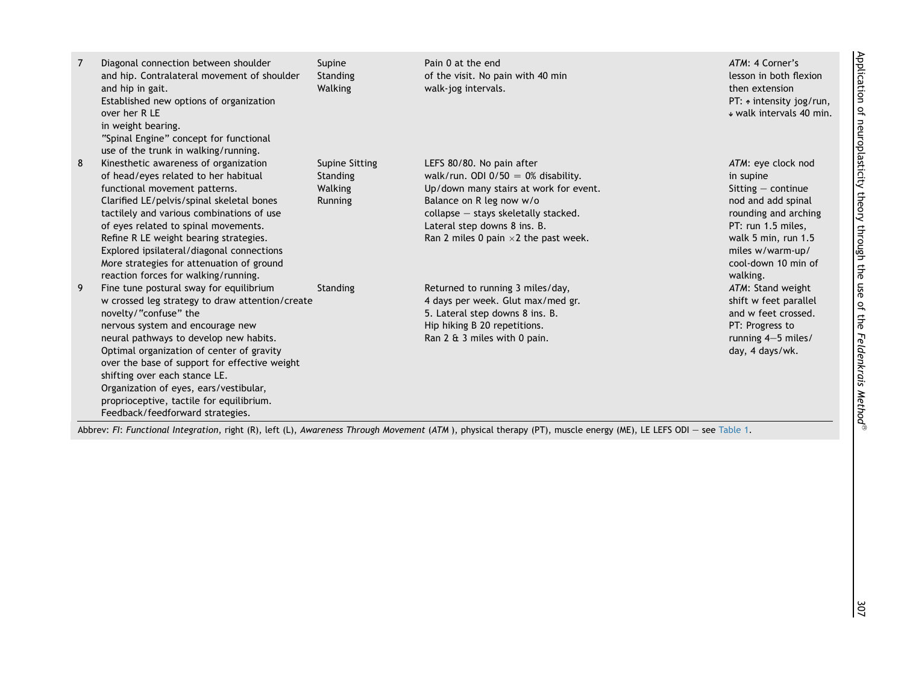| 7 | Diagonal connection between shoulder<br>and hip. Contralateral movement of shoulder<br>and hip in gait.<br>Established new options of organization<br>over her R LE<br>in weight bearing.<br>"Spinal Engine" concept for functional<br>use of the trunk in walking/running.                                                                                                                                                                                | Supine<br>Standing<br>Walking                    | Pain 0 at the end<br>of the visit. No pain with 40 min<br>walk-jog intervals.                                                                                                                                                                                     | ATM: 4 Corner's<br>lesson in both flexion<br>then extension<br>PT: $\uparrow$ intensity jog/run,<br>↓ walk intervals 40 min.                                                                              |
|---|------------------------------------------------------------------------------------------------------------------------------------------------------------------------------------------------------------------------------------------------------------------------------------------------------------------------------------------------------------------------------------------------------------------------------------------------------------|--------------------------------------------------|-------------------------------------------------------------------------------------------------------------------------------------------------------------------------------------------------------------------------------------------------------------------|-----------------------------------------------------------------------------------------------------------------------------------------------------------------------------------------------------------|
| 8 | Kinesthetic awareness of organization<br>of head/eyes related to her habitual<br>functional movement patterns.<br>Clarified LE/pelvis/spinal skeletal bones<br>tactilely and various combinations of use<br>of eyes related to spinal movements.<br>Refine R LE weight bearing strategies.<br>Explored ipsilateral/diagonal connections<br>More strategies for attenuation of ground<br>reaction forces for walking/running.                               | Supine Sitting<br>Standing<br>Walking<br>Running | LEFS 80/80. No pain after<br>walk/run. ODI $0/50 = 0\%$ disability.<br>Up/down many stairs at work for event.<br>Balance on R leg now w/o<br>collapse - stays skeletally stacked.<br>Lateral step downs 8 ins. B.<br>Ran 2 miles 0 pain $\times$ 2 the past week. | ATM: eye clock nod<br>in supine<br>Sitting $-$ continue<br>nod and add spinal<br>rounding and arching<br>PT: run 1.5 miles,<br>walk 5 min, run 1.5<br>miles w/warm-up/<br>cool-down 10 min of<br>walking. |
| 9 | Fine tune postural sway for equilibrium<br>w crossed leg strategy to draw attention/create<br>novelty/"confuse" the<br>nervous system and encourage new<br>neural pathways to develop new habits.<br>Optimal organization of center of gravity<br>over the base of support for effective weight<br>shifting over each stance LE.<br>Organization of eyes, ears/vestibular,<br>proprioceptive, tactile for equilibrium.<br>Feedback/feedforward strategies. | Standing                                         | Returned to running 3 miles/day,<br>4 days per week. Glut max/med gr.<br>5. Lateral step downs 8 ins. B.<br>Hip hiking B 20 repetitions.<br>Ran 2 & 3 miles with 0 pain.                                                                                          | ATM: Stand weight<br>shift w feet parallel<br>and w feet crossed.<br>PT: Progress to<br>running 4-5 miles/<br>day, 4 days/wk.                                                                             |

Application of neuroplasticity theory through the use of the Feldenkrais Method Application of neuroplasticity theory through the use of the Feldenkrais Method®

Abbrev: FI: Functional Integration, right (R), left (L), Awareness Through Movement (ATM ), physical therapy (PT), muscle energy (ME), LE LEFS ODI — see [Table](#page-3-0) 1.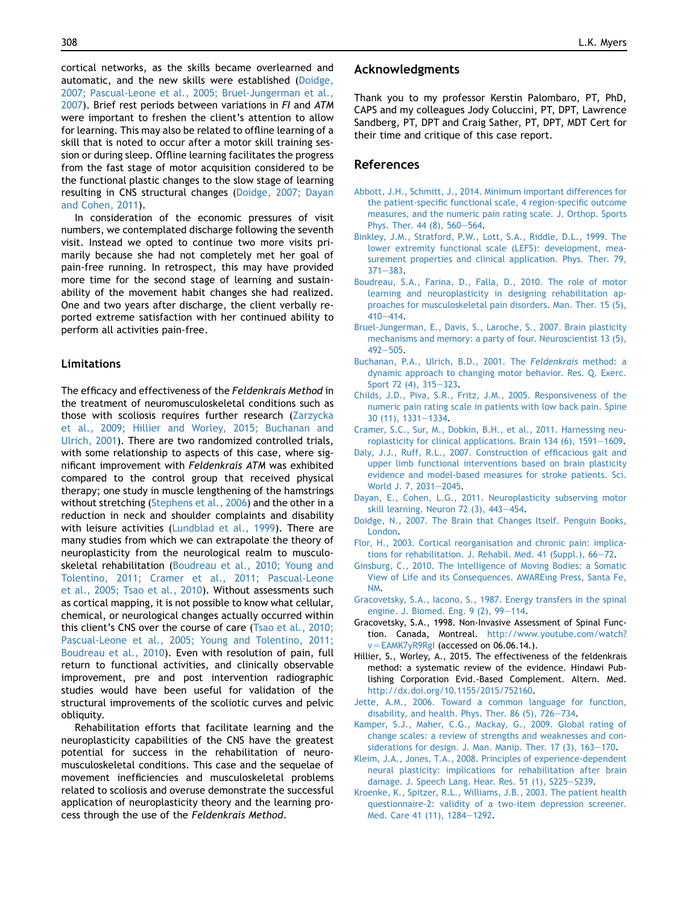<span id="page-8-0"></span>cortical networks, as the skills became overlearned and automatic, and the new skills were established (Doidge, 2007; Pascual-Leone et al., 2005; Bruel-Jungerman et al., 2007). Brief rest periods between variations in FI and ATM were important to freshen the client's attention to allow for learning. This may also be related to offline learning of a skill that is noted to occur after a motor skill training session or during sleep. Offline learning facilitates the progress from the fast stage of motor acquisition considered to be the functional plastic changes to the slow stage of learning resulting in CNS structural changes (Doidge, 2007; Dayan and Cohen, 2011).

In consideration of the economic pressures of visit numbers, we contemplated discharge following the seventh visit. Instead we opted to continue two more visits primarily because she had not completely met her goal of pain-free running. In retrospect, this may have provided more time for the second stage of learning and sustainability of the movement habit changes she had realized. One and two years after discharge, the client verbally reported extreme satisfaction with her continued ability to perform all activities pain-free.

#### Limitations

The efficacy and effectiveness of the Feldenkrais Method in the treatment of neuromusculoskeletal conditions such as those with scoliosis requires further research [\(Zarzycka](#page-9-0) [et al., 2009; Hillier and Worley, 2015; Buchanan and](#page-9-0) [Ulrich, 2001\)](#page-9-0). There are two randomized controlled trials, with some relationship to aspects of this case, where significant improvement with Feldenkrais ATM was exhibited compared to the control group that received physical therapy; one study in muscle lengthening of the hamstrings without stretching ([Stephens et al., 2006\)](#page-9-0) and the other in a reduction in neck and shoulder complaints and disability with leisure activities [\(Lundblad et al., 1999](#page-9-0)). There are many studies from which we can extrapolate the theory of neuroplasticity from the neurological realm to musculoskeletal rehabilitation (Boudreau et al., 2010; Young and Tolentino, 2011; Cramer et al., 2011; Pascual-Leone et al., 2005; Tsao et al., 2010). Without assessments such as cortical mapping, it is not possible to know what cellular, chemical, or neurological changes actually occurred within this client's CNS over the course of care [\(Tsao et al., 2010;](#page-9-0) [Pascual-Leone et al., 2005; Young and Tolentino, 2011;](#page-9-0) [Boudreau et al., 2010](#page-9-0)). Even with resolution of pain, full return to functional activities, and clinically observable improvement, pre and post intervention radiographic studies would have been useful for validation of the structural improvements of the scoliotic curves and pelvic obliquity.

Rehabilitation efforts that facilitate learning and the neuroplasticity capabilities of the CNS have the greatest potential for success in the rehabilitation of neuromusculoskeletal conditions. This case and the sequelae of movement inefficiencies and musculoskeletal problems related to scoliosis and overuse demonstrate the successful application of neuroplasticity theory and the learning process through the use of the Feldenkrais Method.

## Acknowledgments

Thank you to my professor Kerstin Palombaro, PT, PhD, CAPS and my colleagues Jody Coluccini, PT, DPT, Lawrence Sandberg, PT, DPT and Craig Sather, PT, DPT, MDT Cert for their time and critique of this case report.

#### References

- [Abbott, J.H., Schmitt, J., 2014. Minimum important differences for](http://refhub.elsevier.com/S1360-8592(15)00157-6/sref1) [the patient-specific functional scale, 4 region-specific outcome](http://refhub.elsevier.com/S1360-8592(15)00157-6/sref1) [measures, and the numeric pain rating scale. J. Orthop. Sports](http://refhub.elsevier.com/S1360-8592(15)00157-6/sref1) [Phys. Ther. 44 \(8\), 560](http://refhub.elsevier.com/S1360-8592(15)00157-6/sref1)-[564.](http://refhub.elsevier.com/S1360-8592(15)00157-6/sref1)
- [Binkley, J.M., Stratford, P.W., Lott, S.A., Riddle, D.L., 1999. The](http://refhub.elsevier.com/S1360-8592(15)00157-6/sref2) [lower extremity functional scale \(LEFS\): development, mea](http://refhub.elsevier.com/S1360-8592(15)00157-6/sref2)[surement properties and clinical application. Phys. Ther. 79,](http://refhub.elsevier.com/S1360-8592(15)00157-6/sref2)  $371 - 383.$  $371 - 383.$  $371 - 383.$
- [Boudreau, S.A., Farina, D., Falla, D., 2010. The role of motor](http://refhub.elsevier.com/S1360-8592(15)00157-6/sref3) [learning and neuroplasticity in designing rehabilitation ap](http://refhub.elsevier.com/S1360-8592(15)00157-6/sref3)[proaches for musculoskeletal pain disorders. Man. Ther. 15 \(5\),](http://refhub.elsevier.com/S1360-8592(15)00157-6/sref3)  $410 - 414.$  $410 - 414.$  $410 - 414.$
- [Bruel-Jungerman, E., Davis, S., Laroche, S., 2007. Brain plasticity](http://refhub.elsevier.com/S1360-8592(15)00157-6/sref4) [mechanisms and memory: a party of four. Neuroscientist 13 \(5\),](http://refhub.elsevier.com/S1360-8592(15)00157-6/sref4)  $492 - 505$  $492 - 505$
- [Buchanan, P.A., Ulrich, B.D., 2001. The](http://refhub.elsevier.com/S1360-8592(15)00157-6/sref5) Feldenkrais method: a [dynamic approach to changing motor behavior. Res. Q. Exerc.](http://refhub.elsevier.com/S1360-8592(15)00157-6/sref5) [Sport 72 \(4\), 315](http://refhub.elsevier.com/S1360-8592(15)00157-6/sref5)-[323](http://refhub.elsevier.com/S1360-8592(15)00157-6/sref5).
- [Childs, J.D., Piva, S.R., Fritz, J.M., 2005. Responsiveness of the](http://refhub.elsevier.com/S1360-8592(15)00157-6/sref6) [numeric pain rating scale in patients with low back pain. Spine](http://refhub.elsevier.com/S1360-8592(15)00157-6/sref6) [30 \(11\), 1331](http://refhub.elsevier.com/S1360-8592(15)00157-6/sref6)-[1334](http://refhub.elsevier.com/S1360-8592(15)00157-6/sref6).
- [Cramer, S.C., Sur, M., Dobkin, B.H., et al., 2011. Harnessing neu](http://refhub.elsevier.com/S1360-8592(15)00157-6/sref7)roplasticity for clinical applications. Brain  $134$  (6),  $1591-1609$ .
- [Daly, J.J., Ruff, R.L., 2007. Construction of efficacious gait and](http://refhub.elsevier.com/S1360-8592(15)00157-6/sref8) [upper limb functional interventions based on brain plasticity](http://refhub.elsevier.com/S1360-8592(15)00157-6/sref8) [evidence and model-based measures for stroke patients. Sci.](http://refhub.elsevier.com/S1360-8592(15)00157-6/sref8) [World J. 7, 2031](http://refhub.elsevier.com/S1360-8592(15)00157-6/sref8)-[2045](http://refhub.elsevier.com/S1360-8592(15)00157-6/sref8).
- [Dayan, E., Cohen, L.G., 2011. Neuroplasticity subserving motor](http://refhub.elsevier.com/S1360-8592(15)00157-6/sref9) skill learning. Neuron  $72$   $(3)$ ,  $443-454$ .
- [Doidge, N., 2007. The Brain that Changes Itself. Penguin Books,](http://refhub.elsevier.com/S1360-8592(15)00157-6/sref10) [London.](http://refhub.elsevier.com/S1360-8592(15)00157-6/sref10)
- [Flor, H., 2003. Cortical reorganisation and chronic pain: implica](http://refhub.elsevier.com/S1360-8592(15)00157-6/sref11)[tions for rehabilitation. J. Rehabil. Med. 41 \(Suppl.\), 66](http://refhub.elsevier.com/S1360-8592(15)00157-6/sref11)-[72.](http://refhub.elsevier.com/S1360-8592(15)00157-6/sref11)
- [Ginsburg, C., 2010. The Intelligence of Moving Bodies: a Somatic](http://refhub.elsevier.com/S1360-8592(15)00157-6/sref12) [View of Life and its Consequences. AWAREing Press, Santa Fe,](http://refhub.elsevier.com/S1360-8592(15)00157-6/sref12) [NM](http://refhub.elsevier.com/S1360-8592(15)00157-6/sref12).
- [Gracovetsky, S.A., Iacono, S., 1987. Energy transfers in the spinal](http://refhub.elsevier.com/S1360-8592(15)00157-6/sref13) [engine. J. Biomed. Eng. 9 \(2\), 99](http://refhub.elsevier.com/S1360-8592(15)00157-6/sref13)-[114.](http://refhub.elsevier.com/S1360-8592(15)00157-6/sref13)
- Gracovetsky, S.A., 1998. Non-Invasive Assessment of Spinal Function. Canada, Montreal. [http://www.youtube.com/watch?](http://www.youtube.com/watch%3Fv=EAMK7yR9RgI)  $v = EAMK7yR9Rgl$  (accessed on 06.06.14.).
- Hillier, S., Worley, A., 2015. The effectiveness of the feldenkrais method: a systematic review of the evidence. Hindawi Publishing Corporation Evid.-Based Complement. Altern. Med. <http://dx.doi.org/10.1155/2015/752160>.
- [Jette, A.M., 2006. Toward a common language for function,](http://refhub.elsevier.com/S1360-8592(15)00157-6/sref16) disability, and health. Phys. Ther. 86  $(5)$ , 726-[734.](http://refhub.elsevier.com/S1360-8592(15)00157-6/sref16)
- [Kamper, S.J., Maher, C.G., Mackay, G., 2009. Global rating of](http://refhub.elsevier.com/S1360-8592(15)00157-6/sref17) [change scales: a review of strengths and weaknesses and con](http://refhub.elsevier.com/S1360-8592(15)00157-6/sref17)siderations for design. J. Man. Manip. Ther.  $17$  (3),  $163-170$  $163-170$ .
- [Kleim, J.A., Jones, T.A., 2008. Principles of experience-dependent](http://refhub.elsevier.com/S1360-8592(15)00157-6/sref18) [neural plasticity: implications for rehabilitation after brain](http://refhub.elsevier.com/S1360-8592(15)00157-6/sref18) [damage. J. Speech Lang. Hear. Res. 51 \(1\), S225](http://refhub.elsevier.com/S1360-8592(15)00157-6/sref18)-[S239](http://refhub.elsevier.com/S1360-8592(15)00157-6/sref18).
- [Kroenke, K., Spitzer, R.L., Williams, J.B., 2003. The patient health](http://refhub.elsevier.com/S1360-8592(15)00157-6/sref19) [questionnaire-2: validity of a two-item depression screener.](http://refhub.elsevier.com/S1360-8592(15)00157-6/sref19) [Med. Care 41 \(11\), 1284](http://refhub.elsevier.com/S1360-8592(15)00157-6/sref19)-[1292.](http://refhub.elsevier.com/S1360-8592(15)00157-6/sref19)